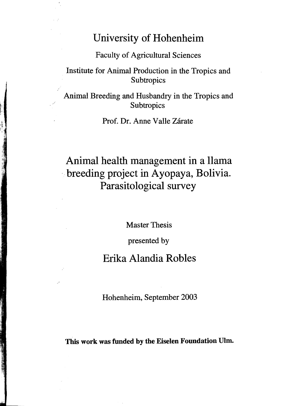# University of Hohenheim

Faculty of Agricultural Sciences

### Institute for Animal Production in the Tropics and **Subtropics**

Animal Breeding and Husbandry in the Tropics and **Subtropics** 

Prof. Dr. Anne Valle Zárate

# Animal health management in a Ilama '~breeding project in Ayopaya, Bolivia. Parasitological survey

Master Thesis

presented by

## Erika Alandia Robles

Hohenheim, September 2003

This work was funded by the Eiselen Foundation Ulm.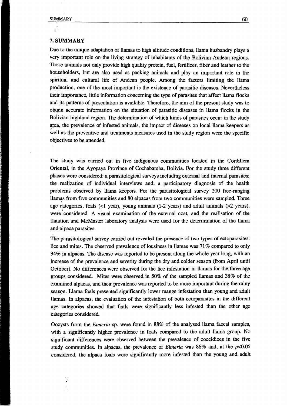#### 7. SUMMARY

Due to the unique adaptation of llamas to high altitude conditions, llama husbandry plays a . very important role on the living strategy of inhabitants of the Bolivian Andean regions. Those animals not only provide high quality protein, fuel, fertilizer, fiber and leather to the householders, but are also used as packing animals and play an important role in the spiritual and cultural life of Andean people. Among the factors limiting the llama production, one of the most important is the existence of parasitic diseases. Nevertheless their importance, little information concerning the type of parasites that affect llama flocks and its patterns of presentation is available. Therefore, the aim of the present study was to obtain accurate information on the situation of parasitic diseases in llama flocks in the B6livian highland region. The determination of which kinds of parasites occur in the study area, the prevalence of infested animals, the impact of diseases on local llama keepers as well as the preventive and treatments measures used in the study region were the specific objectives to be attended.

The study was carried out in five indigenous communities located in the Cordillera Oriental, in the Ayopaya Province of Cochabamba, Bolivia. For the study three different . phases were considered: a parasitological surveys including external and internal parasites; the realization of individual interviews and; a participatory diagnosis of the health problems observed by llama keepers. For the parasitological survey 200 free-ranging llamas from five communities and 80 alpacas from two communities were sampled. Three age categories, foals  $($ <1 year), young animals  $(1-2$  years) and adult animals  $($ >2 years), were considered. A visual examination of the external coat, and the realisation of the flatation and McMaster laboratory analysis were used for the determination of the llama and alpaca parasites.

The parasitological survey carried out revealed the presence of two types of ectoparasites: lice and mites. The observed prevalence of lousiness in llamas was 71% compared to only 34% in alpacas. The disease was reported to be present along the whole year long, with an increase of the prevalence and severity during the dry and colder season (from April until October). No differences were observed for the lice infestation in llamas for the three age groups considered. Mites were observed in 50% of the sampled llamas and 38% of the examined alpacas, and their prevalence was reported to be more important during the rainy season. Llama foals presented significantly lower mange infestation than young and adult llamas. In alpacas, the evaluation of the infestation of both ectoparasites in the different age' categories showed that fools were significantly less infested than the other age categories considered.

Occysts from the *Eimeria* sp. were found in 88% of the analysed llama faecal sampies, with a significantly higher prevalence in foals compared to the adult llama group. No significant differences were observed between the prevalence of coccidioes in the five study communities. In alpacas, the prevalence of *Eimeria* was 86% and, at the p<0.05 considered, the alpaca fools were significantly more infested than the young and adult